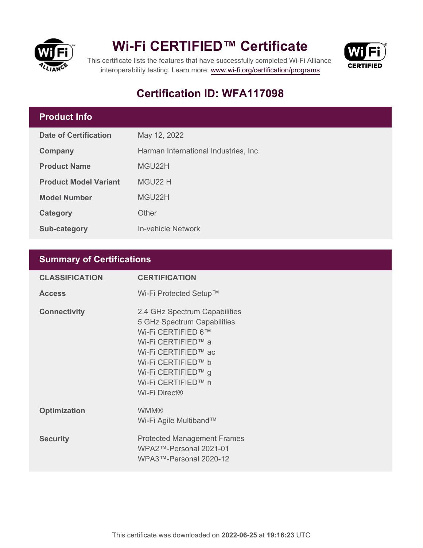



This certificate lists the features that have successfully completed Wi-Fi Alliance interoperability testing. Learn more:<www.wi-fi.org/certification/programs>

# **Certification ID: WFA117098**

# **Product Info**

| Date of Certification        | May 12, 2022                          |  |
|------------------------------|---------------------------------------|--|
| Company                      | Harman International Industries, Inc. |  |
| <b>Product Name</b>          | MGU22H                                |  |
| <b>Product Model Variant</b> | MGU22 H                               |  |
| <b>Model Number</b>          | MGU22H                                |  |
| Category                     | Other                                 |  |
| Sub-category                 | In-vehicle Network                    |  |

## **Summary of Certifications**

| <b>CLASSIFICATION</b> | <b>CERTIFICATION</b>                                                                                                                                                                                                           |
|-----------------------|--------------------------------------------------------------------------------------------------------------------------------------------------------------------------------------------------------------------------------|
| <b>Access</b>         | Wi-Fi Protected Setup™                                                                                                                                                                                                         |
| <b>Connectivity</b>   | 2.4 GHz Spectrum Capabilities<br>5 GHz Spectrum Capabilities<br>Wi-Fi CERTIFIED 6™<br>Wi-Fi CERTIFIED™ a<br>Wi-Fi CERTIFIED™ ac<br>Wi-Fi CERTIFIED™ b<br>Wi-Fi CERTIFIED™ g<br>Wi-Fi CERTIFIED™ n<br>Wi-Fi Direct <sup>®</sup> |
| <b>Optimization</b>   | <b>WMM®</b><br>Wi-Fi Agile Multiband™                                                                                                                                                                                          |
| <b>Security</b>       | <b>Protected Management Frames</b><br>WPA2™-Personal 2021-01<br>WPA3™-Personal 2020-12                                                                                                                                         |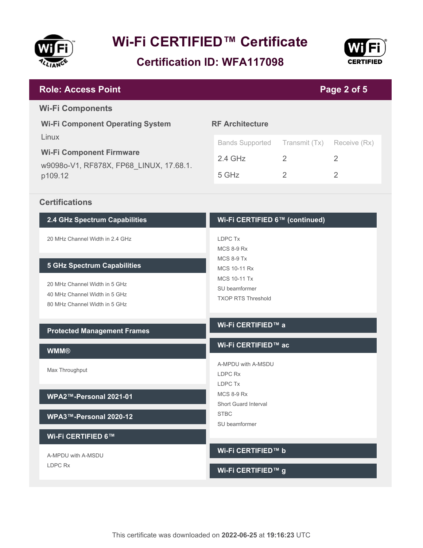

**Certification ID: WFA117098**



#### **Wi-Fi CERTIFIED 6™ (continued)** LDPC Tx MCS 8-9 Rx MCS 8-9 Tx MCS 10-11 Rx MCS 10-11 Tx SU beamformer TXOP RTS Threshold **2.4 GHz Spectrum Capabilities** 20 MHz Channel Width in 2.4 GHz **5 GHz Spectrum Capabilities** 20 MHz Channel Width in 5 GHz 40 MHz Channel Width in 5 GHz 80 MHz Channel Width in 5 GHz **RF Architecture** Bands Supported Transmit (Tx) Receive (Rx) 2.4 GHz 2 2 2 5 GHz 2 2 **Wi-Fi Component Operating System** Linux **Wi-Fi Component Firmware** w9098o-V1, RF878X, FP68\_LINUX, 17.68.1. p109.12 **Page 2 of 5 Role: Access Point Wi-Fi Components Certifications**

#### **Protected Management Frames**

#### **WMM®**

Max Throughput

#### **WPA2™-Personal 2021-01**

**WPA3™-Personal 2020-12**

#### **Wi-Fi CERTIFIED 6™**

A-MPDU with A-MSDU LDPC Rx

#### **Wi-Fi CERTIFIED™ a**

#### **Wi-Fi CERTIFIED™ ac**

A-MPDU with A-MSDU LDPC Rx LDPC Tx MCS 8-9 Rx Short Guard Interval STBC SU beamformer

#### **Wi-Fi CERTIFIED™ b**

#### **Wi-Fi CERTIFIED™ g**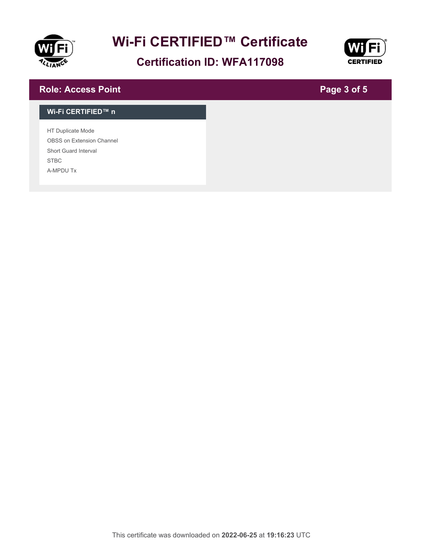

# **Certification ID: WFA117098**



## **Role: Access Point**

# **Page 3 of 5**

#### **Wi-Fi CERTIFIED™ n**

HT Duplicate Mode OBSS on Extension Channel Short Guard Interval STBC A-MPDU Tx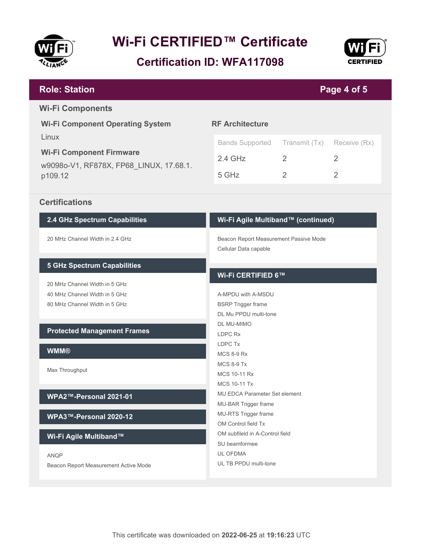

**Certification ID: WFA117098**



### **Role: Station**

## **Page 4 of 5**

#### **Wi-Fi Components**

**Wi-Fi Component Operating System** Linux **Wi-Fi Component Firmware**

w9098o-V1, RF878X, FP68\_LINUX, 17.68.1. p109.12

#### **RF Architecture**

| Bands Supported Transmit (Tx) Receive (Rx) |   |  |
|--------------------------------------------|---|--|
| 2.4 GHz                                    | ン |  |
| 5 GHz                                      | 2 |  |

#### **Certifications**

#### **2.4 GHz Spectrum Capabilities**

20 MHz Channel Width in 2.4 GHz

#### **5 GHz Spectrum Capabilities**

20 MHz Channel Width in 5 GHz 40 MHz Channel Width in 5 GHz 80 MHz Channel Width in 5 GHz

#### **Protected Management Frames**

#### **WMM®**

Max Throughput

#### **WPA2™-Personal 2021-01**

**WPA3™-Personal 2020-12**

#### **Wi-Fi Agile Multiband™**

ANQP

Beacon Report Measurement Active Mode

#### **Wi-Fi Agile Multiband™ (continued)**

Beacon Report Measurement Passive Mode Cellular Data capable

#### **Wi-Fi CERTIFIED 6™**

A-MPDU with A-MSDU BSRP Trigger frame DL Mu PPDU multi-tone DL MU-MIMO LDPC Rx LDPC Tx MCS 8-9 Rx MCS 8-9 Tx MCS 10-11 Rx MCS 10-11 Tx MU EDCA Parameter Set element MU-BAR Trigger frame MU-RTS Trigger frame OM Control field Tx OM subfileld in A-Control field SU beamformee UL OFDMA UL TB PPDU multi-tone